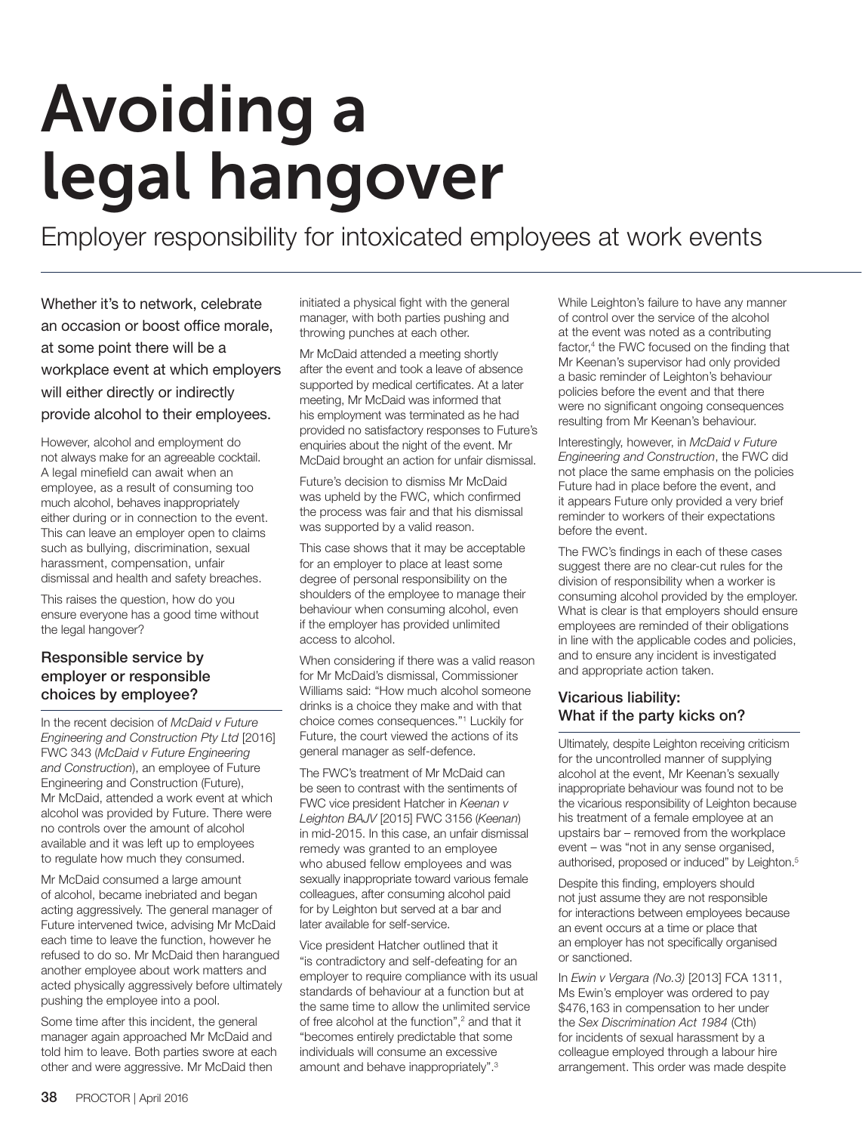# Avoiding a legal hangover

Employer responsibility for intoxicated employees at work events

Whether it's to network, celebrate an occasion or boost office morale, at some point there will be a workplace event at which employers will either directly or indirectly provide alcohol to their employees.

However, alcohol and employment do not always make for an agreeable cocktail. A legal minefield can await when an employee, as a result of consuming too much alcohol, behaves inappropriately either during or in connection to the event. This can leave an employer open to claims such as bullying, discrimination, sexual harassment, compensation, unfair dismissal and health and safety breaches.

This raises the question, how do you ensure everyone has a good time without the legal hangover?

# Responsible service by employer or responsible choices by employee?

In the recent decision of *McDaid v Future Engineering and Construction Pty Ltd* [2016] FWC 343 (*McDaid v Future Engineering and Construction*), an employee of Future Engineering and Construction (Future), Mr McDaid, attended a work event at which alcohol was provided by Future. There were no controls over the amount of alcohol available and it was left up to employees to regulate how much they consumed.

Mr McDaid consumed a large amount of alcohol, became inebriated and began acting aggressively. The general manager of Future intervened twice, advising Mr McDaid each time to leave the function, however he refused to do so. Mr McDaid then harangued another employee about work matters and acted physically aggressively before ultimately pushing the employee into a pool.

Some time after this incident, the general manager again approached Mr McDaid and told him to leave. Both parties swore at each other and were aggressive. Mr McDaid then

initiated a physical fight with the general manager, with both parties pushing and throwing punches at each other.

Mr McDaid attended a meeting shortly after the event and took a leave of absence supported by medical certificates. At a later meeting, Mr McDaid was informed that his employment was terminated as he had provided no satisfactory responses to Future's enquiries about the night of the event. Mr McDaid brought an action for unfair dismissal.

Future's decision to dismiss Mr McDaid was upheld by the FWC, which confirmed the process was fair and that his dismissal was supported by a valid reason.

This case shows that it may be acceptable for an employer to place at least some degree of personal responsibility on the shoulders of the employee to manage their behaviour when consuming alcohol, even if the employer has provided unlimited access to alcohol.

When considering if there was a valid reason for Mr McDaid's dismissal, Commissioner Williams said: "How much alcohol someone drinks is a choice they make and with that choice comes consequences."1 Luckily for Future, the court viewed the actions of its general manager as self-defence.

The FWC's treatment of Mr McDaid can be seen to contrast with the sentiments of FWC vice president Hatcher in *Keenan v Leighton BAJV* [2015] FWC 3156 (*Keenan*) in mid-2015. In this case, an unfair dismissal remedy was granted to an employee who abused fellow employees and was sexually inappropriate toward various female colleagues, after consuming alcohol paid for by Leighton but served at a bar and later available for self-service.

Vice president Hatcher outlined that it "is contradictory and self-defeating for an employer to require compliance with its usual standards of behaviour at a function but at the same time to allow the unlimited service of free alcohol at the function",<sup>2</sup> and that it "becomes entirely predictable that some individuals will consume an excessive amount and behave inappropriately".3

While Leighton's failure to have any manner of control over the service of the alcohol at the event was noted as a contributing factor,<sup>4</sup> the FWC focused on the finding that Mr Keenan's supervisor had only provided a basic reminder of Leighton's behaviour policies before the event and that there were no significant ongoing consequences resulting from Mr Keenan's behaviour.

Interestingly, however, in *McDaid v Future Engineering and Construction*, the FWC did not place the same emphasis on the policies Future had in place before the event, and it appears Future only provided a very brief reminder to workers of their expectations before the event.

The FWC's findings in each of these cases suggest there are no clear-cut rules for the division of responsibility when a worker is consuming alcohol provided by the employer. What is clear is that employers should ensure employees are reminded of their obligations in line with the applicable codes and policies, and to ensure any incident is investigated and appropriate action taken.

# Vicarious liability: What if the party kicks on?

Ultimately, despite Leighton receiving criticism for the uncontrolled manner of supplying alcohol at the event, Mr Keenan's sexually inappropriate behaviour was found not to be the vicarious responsibility of Leighton because his treatment of a female employee at an upstairs bar – removed from the workplace event – was "not in any sense organised, authorised, proposed or induced" by Leighton.<sup>5</sup>

Despite this finding, employers should not just assume they are not responsible for interactions between employees because an event occurs at a time or place that an employer has not specifically organised or sanctioned.

In *Ewin v Vergara (No.3)* [2013] FCA 1311, Ms Ewin's employer was ordered to pay \$476,163 in compensation to her under the *Sex Discrimination Act 1984* (Cth) for incidents of sexual harassment by a colleague employed through a labour hire arrangement. This order was made despite